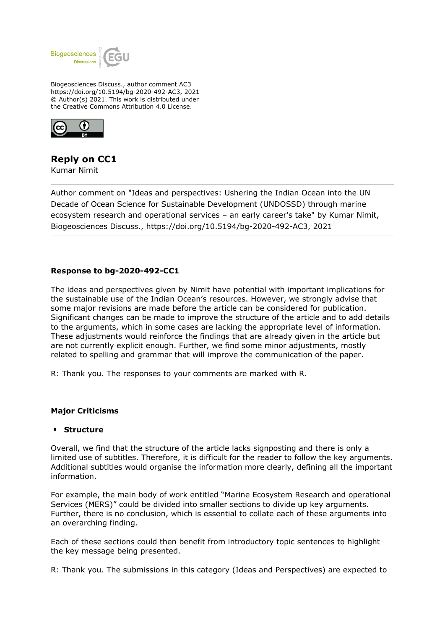

Biogeosciences Discuss., author comment AC3 https://doi.org/10.5194/bg-2020-492-AC3, 2021 © Author(s) 2021. This work is distributed under the Creative Commons Attribution 4.0 License.



# **Reply on CC1**

Kumar Nimit

Author comment on "Ideas and perspectives: Ushering the Indian Ocean into the UN Decade of Ocean Science for Sustainable Development (UNDOSSD) through marine ecosystem research and operational services – an early career's take" by Kumar Nimit, Biogeosciences Discuss., https://doi.org/10.5194/bg-2020-492-AC3, 2021

# **Response to bg-2020-492-CC1**

The ideas and perspectives given by Nimit have potential with important implications for the sustainable use of the Indian Ocean's resources. However, we strongly advise that some major revisions are made before the article can be considered for publication. Significant changes can be made to improve the structure of the article and to add details to the arguments, which in some cases are lacking the appropriate level of information. These adjustments would reinforce the findings that are already given in the article but are not currently explicit enough. Further, we find some minor adjustments, mostly related to spelling and grammar that will improve the communication of the paper.

R: Thank you. The responses to your comments are marked with R.

### **Major Criticisms**

#### **Structure**

Overall, we find that the structure of the article lacks signposting and there is only a limited use of subtitles. Therefore, it is difficult for the reader to follow the key arguments. Additional subtitles would organise the information more clearly, defining all the important information.

For example, the main body of work entitled "Marine Ecosystem Research and operational Services (MERS)" could be divided into smaller sections to divide up key arguments. Further, there is no conclusion, which is essential to collate each of these arguments into an overarching finding.

Each of these sections could then benefit from introductory topic sentences to highlight the key message being presented.

R: Thank you. The submissions in this category (Ideas and Perspectives) are expected to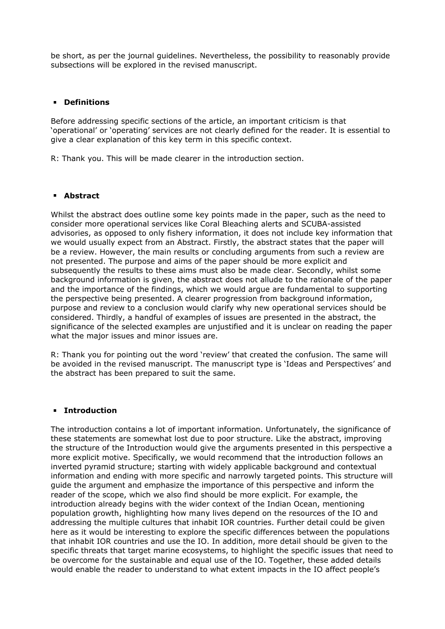be short, as per the journal guidelines. Nevertheless, the possibility to reasonably provide subsections will be explored in the revised manuscript.

### **Definitions**

Before addressing specific sections of the article, an important criticism is that 'operational' or 'operating' services are not clearly defined for the reader. It is essential to give a clear explanation of this key term in this specific context.

R: Thank you. This will be made clearer in the introduction section.

### **Abstract**

Whilst the abstract does outline some key points made in the paper, such as the need to consider more operational services like Coral Bleaching alerts and SCUBA-assisted advisories, as opposed to only fishery information, it does not include key information that we would usually expect from an Abstract. Firstly, the abstract states that the paper will be a review. However, the main results or concluding arguments from such a review are not presented. The purpose and aims of the paper should be more explicit and subsequently the results to these aims must also be made clear. Secondly, whilst some background information is given, the abstract does not allude to the rationale of the paper and the importance of the findings, which we would argue are fundamental to supporting the perspective being presented. A clearer progression from background information, purpose and review to a conclusion would clarify why new operational services should be considered. Thirdly, a handful of examples of issues are presented in the abstract, the significance of the selected examples are unjustified and it is unclear on reading the paper what the major issues and minor issues are.

R: Thank you for pointing out the word 'review' that created the confusion. The same will be avoided in the revised manuscript. The manuscript type is 'Ideas and Perspectives' and the abstract has been prepared to suit the same.

### **Introduction**

The introduction contains a lot of important information. Unfortunately, the significance of these statements are somewhat lost due to poor structure. Like the abstract, improving the structure of the Introduction would give the arguments presented in this perspective a more explicit motive. Specifically, we would recommend that the introduction follows an inverted pyramid structure; starting with widely applicable background and contextual information and ending with more specific and narrowly targeted points. This structure will guide the argument and emphasize the importance of this perspective and inform the reader of the scope, which we also find should be more explicit. For example, the introduction already begins with the wider context of the Indian Ocean, mentioning population growth, highlighting how many lives depend on the resources of the IO and addressing the multiple cultures that inhabit IOR countries. Further detail could be given here as it would be interesting to explore the specific differences between the populations that inhabit IOR countries and use the IO. In addition, more detail should be given to the specific threats that target marine ecosystems, to highlight the specific issues that need to be overcome for the sustainable and equal use of the IO. Together, these added details would enable the reader to understand to what extent impacts in the IO affect people's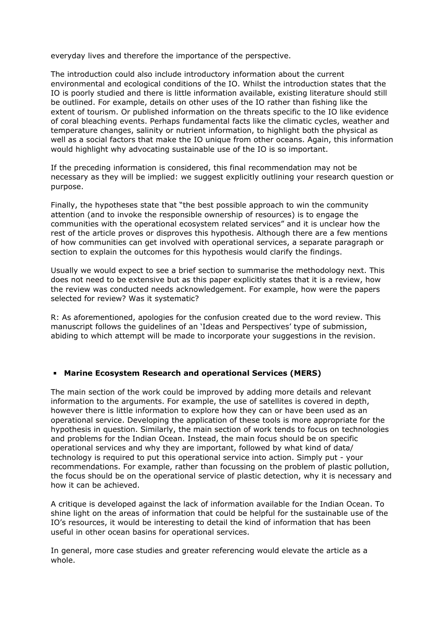everyday lives and therefore the importance of the perspective.

The introduction could also include introductory information about the current environmental and ecological conditions of the IO. Whilst the introduction states that the IO is poorly studied and there is little information available, existing literature should still be outlined. For example, details on other uses of the IO rather than fishing like the extent of tourism. Or published information on the threats specific to the IO like evidence of coral bleaching events. Perhaps fundamental facts like the climatic cycles, weather and temperature changes, salinity or nutrient information, to highlight both the physical as well as a social factors that make the IO unique from other oceans. Again, this information would highlight why advocating sustainable use of the IO is so important.

If the preceding information is considered, this final recommendation may not be necessary as they will be implied: we suggest explicitly outlining your research question or purpose.

Finally, the hypotheses state that "the best possible approach to win the community attention (and to invoke the responsible ownership of resources) is to engage the communities with the operational ecosystem related services" and it is unclear how the rest of the article proves or disproves this hypothesis. Although there are a few mentions of how communities can get involved with operational services, a separate paragraph or section to explain the outcomes for this hypothesis would clarify the findings.

Usually we would expect to see a brief section to summarise the methodology next. This does not need to be extensive but as this paper explicitly states that it is a review, how the review was conducted needs acknowledgement. For example, how were the papers selected for review? Was it systematic?

R: As aforementioned, apologies for the confusion created due to the word review. This manuscript follows the guidelines of an 'Ideas and Perspectives' type of submission, abiding to which attempt will be made to incorporate your suggestions in the revision.

# **Marine Ecosystem Research and operational Services (MERS)**

The main section of the work could be improved by adding more details and relevant information to the arguments. For example, the use of satellites is covered in depth, however there is little information to explore how they can or have been used as an operational service. Developing the application of these tools is more appropriate for the hypothesis in question. Similarly, the main section of work tends to focus on technologies and problems for the Indian Ocean. Instead, the main focus should be on specific operational services and why they are important, followed by what kind of data/ technology is required to put this operational service into action. Simply put - your recommendations. For example, rather than focussing on the problem of plastic pollution, the focus should be on the operational service of plastic detection, why it is necessary and how it can be achieved.

A critique is developed against the lack of information available for the Indian Ocean. To shine light on the areas of information that could be helpful for the sustainable use of the IO's resources, it would be interesting to detail the kind of information that has been useful in other ocean basins for operational services.

In general, more case studies and greater referencing would elevate the article as a whole.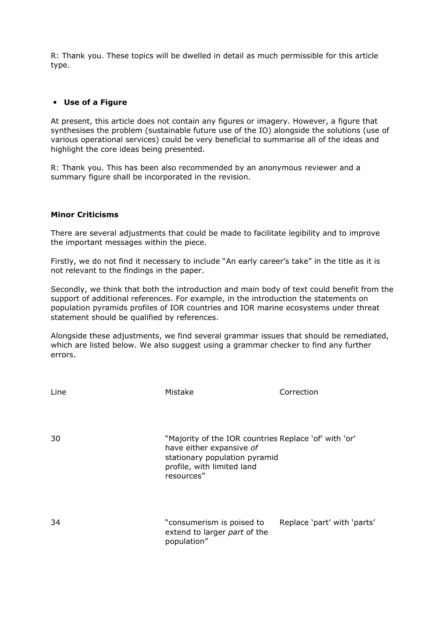R: Thank you. These topics will be dwelled in detail as much permissible for this article type.

# **Use of a Figure**

At present, this article does not contain any figures or imagery. However, a figure that synthesises the problem (sustainable future use of the IO) alongside the solutions (use of various operational services) could be very beneficial to summarise all of the ideas and highlight the core ideas being presented.

R: Thank you. This has been also recommended by an anonymous reviewer and a summary figure shall be incorporated in the revision.

### **Minor Criticisms**

There are several adjustments that could be made to facilitate legibility and to improve the important messages within the piece.

Firstly, we do not find it necessary to include "An early career's take" in the title as it is not relevant to the findings in the paper.

Secondly, we think that both the introduction and main body of text could benefit from the support of additional references. For example, in the introduction the statements on population pyramids profiles of IOR countries and IOR marine ecosystems under threat statement should be qualified by references.

Alongside these adjustments, we find several grammar issues that should be remediated, which are listed below. We also suggest using a grammar checker to find any further errors.

| Line | Mistake                                                                                                                                                        | Correction                  |
|------|----------------------------------------------------------------------------------------------------------------------------------------------------------------|-----------------------------|
| 30   | "Majority of the IOR countries Replace 'of' with 'or'<br>have either expansive of<br>stationary population pyramid<br>profile, with limited land<br>resources" |                             |
| 34   | "consumerism is poised to<br>extend to larger part of the<br>population"                                                                                       | Replace 'part' with 'parts' |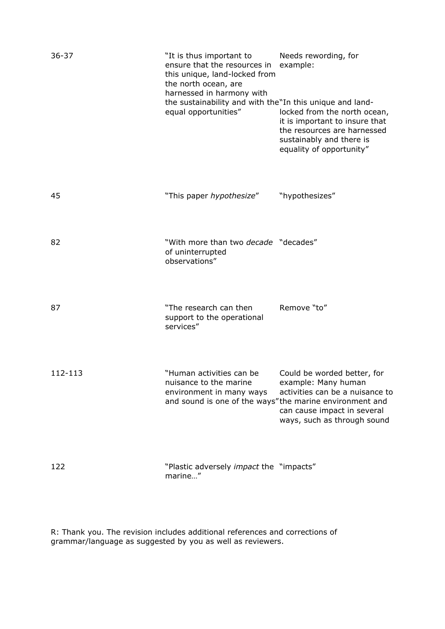| $36 - 37$ | "It is thus important to<br>ensure that the resources in<br>this unique, land-locked from<br>the north ocean, are<br>harnessed in harmony with | Needs rewording, for<br>example:                                                                                                                      |
|-----------|------------------------------------------------------------------------------------------------------------------------------------------------|-------------------------------------------------------------------------------------------------------------------------------------------------------|
|           | the sustainability and with the"In this unique and land-<br>equal opportunities"                                                               | locked from the north ocean,<br>it is important to insure that<br>the resources are harnessed<br>sustainably and there is<br>equality of opportunity" |
| 45        | "This paper hypothesize"                                                                                                                       | "hypothesizes"                                                                                                                                        |
| 82        | "With more than two <i>decade</i> "decades"<br>of uninterrupted<br>observations"                                                               |                                                                                                                                                       |
| 87        | "The research can then<br>support to the operational<br>services"                                                                              | Remove "to"                                                                                                                                           |
| 112-113   | "Human activities can be<br>nuisance to the marine<br>environment in many ways<br>and sound is one of the ways"the marine environment and      | Could be worded better, for<br>example: Many human<br>activities can be a nuisance to<br>can cause impact in several<br>ways, such as through sound   |
| 122       | "Plastic adversely impact the "impacts"<br>marine"                                                                                             |                                                                                                                                                       |

R: Thank you. The revision includes additional references and corrections of grammar/language as suggested by you as well as reviewers.